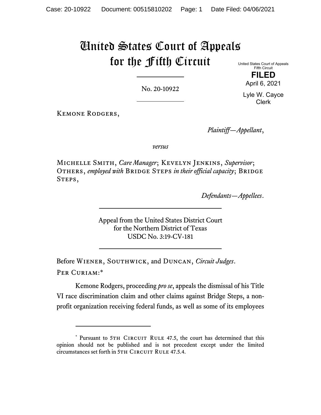## United States Court of Appeals for the Fifth Circuit

No. 20-10922

United States Court of Appeals Fifth Circuit **FILED** 

April 6, 2021

Lyle W. Cayce Clerk

Kemone Rodgers,

*Plaintiff—Appellant*,

*versus*

Michelle Smith, *Care Manager*; Kevelyn Jenkins, *Supervisor*; OTHERS, *employed with* BRIDGE STEPS *in their official capacity*; BRIDGE STEPS,

*Defendants—Appellees*.

Appeal from the United States District Court for the Northern District of Texas USDC No. 3:19-CV-181

Before Wiener, Southwick, and Duncan, *Circuit Judges*. Per Curiam:\*

Kemone Rodgers, proceeding *pro se*, appeals the dismissal of his Title VI race discrimination claim and other claims against Bridge Steps, a nonprofit organization receiving federal funds, as well as some of its employees

<sup>\*</sup> Pursuant to 5TH CIRCUIT RULE 47.5, the court has determined that this opinion should not be published and is not precedent except under the limited circumstances set forth in 5TH CIRCUIT RULE 47.5.4.